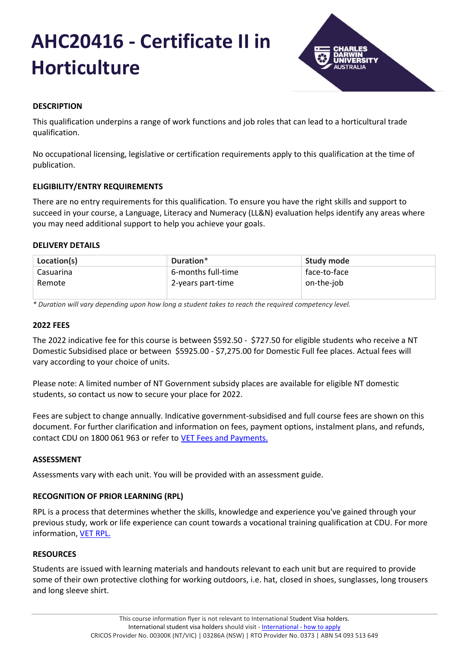# **AHC20416 - Certificate II in Horticulture**



# **DESCRIPTION**

This qualification underpins a range of work functions and job roles that can lead to a horticultural trade qualification.

No occupational licensing, legislative or certification requirements apply to this qualification at the time of publication.

# **ELIGIBILITY/ENTRY REQUIREMENTS**

There are no entry requirements for this qualification. To ensure you have the right skills and support to succeed in your course, a Language, Literacy and Numeracy (LL&N) evaluation helps identify any areas where you may need additional support to help you achieve your goals.

# **DELIVERY DETAILS**

| Location(s) | Duration*          | Study mode   |
|-------------|--------------------|--------------|
| Casuarina   | 6-months full-time | face-to-face |
| Remote      | 2-years part-time  | on-the-job   |

*\* Duration will vary depending upon how long a student takes to reach the required competency level.*

# **2022 FEES**

The 2022 indicative fee for this course is between \$592.50 - \$727.50 for eligible students who receive a NT Domestic Subsidised place or between \$5925.00 - \$7,275.00 for Domestic Full fee places. Actual fees will vary according to your choice of units.

Please note: A limited number of NT Government subsidy places are available for eligible NT domestic students, so contact us now to secure your place for 2022.

Fees are subject to change annually. Indicative government-subsidised and full course fees are shown on this document. For further clarification and information on fees, payment options, instalment plans, and refunds, contact CDU on 1800 061 963 or refer to [VET Fees and Payments.](https://www.cdu.edu.au/current-students/student-admin/fees-payments)

# **ASSESSMENT**

Assessments vary with each unit. You will be provided with an assessment guide.

# **RECOGNITION OF PRIOR LEARNING (RPL)**

RPL is a process that determines whether the skills, knowledge and experience you've gained through your previous study, work or life experience can count towards a vocational training qualification at CDU. For more information, [VET RPL.](https://www.cdu.edu.au/study/vocational-education-training/rpl)

# **RESOURCES**

Students are issued with learning materials and handouts relevant to each unit but are required to provide some of their own protective clothing for working outdoors, i.e. hat, closed in shoes, sunglasses, long trousers and long sleeve shirt.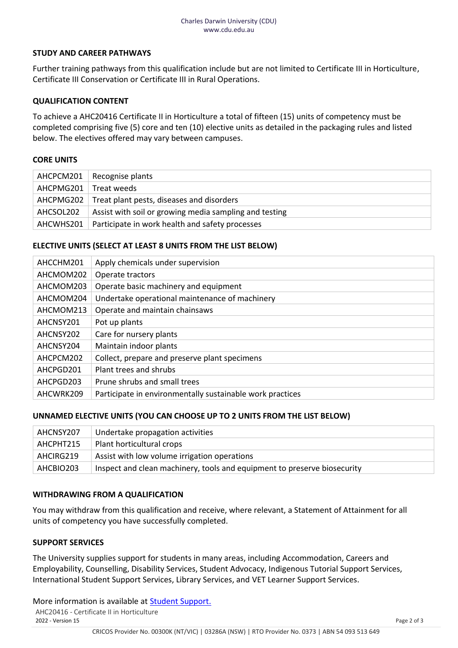#### **STUDY AND CAREER PATHWAYS**

Further training pathways from this qualification include but are not limited to Certificate III in Horticulture, Certificate III Conservation or Certificate III in Rural Operations.

#### **QUALIFICATION CONTENT**

To achieve a AHC20416 Certificate II in Horticulture a total of fifteen (15) units of competency must be completed comprising five (5) core and ten (10) elective units as detailed in the packaging rules and listed below. The electives offered may vary between campuses.

#### **CORE UNITS**

|           | $AHCPCM201$ Recognise plants                           |
|-----------|--------------------------------------------------------|
| AHCPMG201 | Treat weeds                                            |
| AHCPMG202 | Treat plant pests, diseases and disorders              |
| AHCSOL202 | Assist with soil or growing media sampling and testing |
| AHCWHS201 | Participate in work health and safety processes        |

#### **ELECTIVE UNITS (SELECT AT LEAST 8 UNITS FROM THE LIST BELOW)**

| AHCCHM201 | Apply chemicals under supervision                         |
|-----------|-----------------------------------------------------------|
| AHCMOM202 | Operate tractors                                          |
| AHCMOM203 | Operate basic machinery and equipment                     |
| AHCMOM204 | Undertake operational maintenance of machinery            |
| AHCMOM213 | Operate and maintain chainsaws                            |
| AHCNSY201 | Pot up plants                                             |
| AHCNSY202 | Care for nursery plants                                   |
| AHCNSY204 | Maintain indoor plants                                    |
| AHCPCM202 | Collect, prepare and preserve plant specimens             |
| AHCPGD201 | Plant trees and shrubs                                    |
| AHCPGD203 | Prune shrubs and small trees                              |
| AHCWRK209 | Participate in environmentally sustainable work practices |

# **UNNAMED ELECTIVE UNITS (YOU CAN CHOOSE UP TO 2 UNITS FROM THE LIST BELOW)**

| AHCNSY207 | Undertake propagation activities                                         |
|-----------|--------------------------------------------------------------------------|
| AHCPHT215 | Plant horticultural crops                                                |
| AHCIRG219 | Assist with low volume irrigation operations                             |
| AHCBIO203 | Inspect and clean machinery, tools and equipment to preserve biosecurity |

#### **WITHDRAWING FROM A QUALIFICATION**

You may withdraw from this qualification and receive, where relevant, a Statement of Attainment for all units of competency you have successfully completed.

#### **SUPPORT SERVICES**

The University supplies support for students in many areas, including Accommodation, Careers and Employability, Counselling, Disability Services, Student Advocacy, Indigenous Tutorial Support Services, International Student Support Services, Library Services, and VET Learner Support Services.

AHC20416 - Certificate II in Horticulture<br>2022 - Version 15 2022 - Version 15 Page 2 of 3 More information is available at **Student Support.**